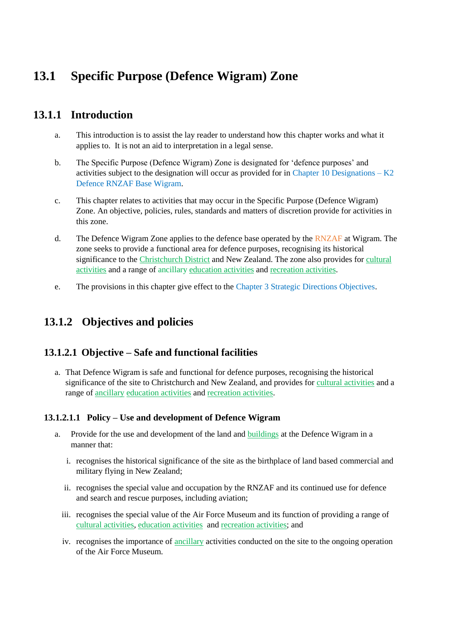# **13.1 Specific Purpose (Defence Wigram) Zone**

# **13.1.1 Introduction**

- a. This introduction is to assist the lay reader to understand how this chapter works and what it applies to. It is not an aid to interpretation in a legal sense.
- b. The Specific Purpose (Defence Wigram) Zone is designated for 'defence purposes' and activities subject to the designation will occur as provided for in Chapter 10 Designations – K2 Defence RNZAF Base Wigram.
- c. This chapter relates to activities that may occur in the Specific Purpose (Defence Wigram) Zone. An objective, policies, rules, standards and matters of discretion provide for activities in this zone.
- d. The Defence Wigram Zone applies to the defence base operated by the RNZAF at Wigram. The zone seeks to provide a functional area for defence purposes, recognising its historical significance to the Christchurch District and New Zealand. The zone also provides for cultural activities and a range of ancillary education activities and recreation activities.
- e. The provisions in this chapter give effect to the Chapter 3 Strategic Directions Objectives.

# **13.1.2 Objectives and policies**

## **13.1.2.1 Objective – Safe and functional facilities**

a. That Defence Wigram is safe and functional for defence purposes, recognising the historical significance of the site to Christchurch and New Zealand, and provides for cultural activities and a range of ancillary education activities and recreation activities.

## **13.1.2.1.1 Policy – Use and development of Defence Wigram**

- a. Provide for the use and development of the land and buildings at the Defence Wigram in a manner that:
	- i. recognises the historical significance of the site as the birthplace of land based commercial and military flying in New Zealand;
	- ii. recognises the special value and occupation by the RNZAF and its continued use for defence and search and rescue purposes, including aviation;
	- iii. recognises the special value of the Air Force Museum and its function of providing a range of cultural activities, education activities and recreation activities; and
	- iv. recognises the importance of ancillary activities conducted on the site to the ongoing operation of the Air Force Museum.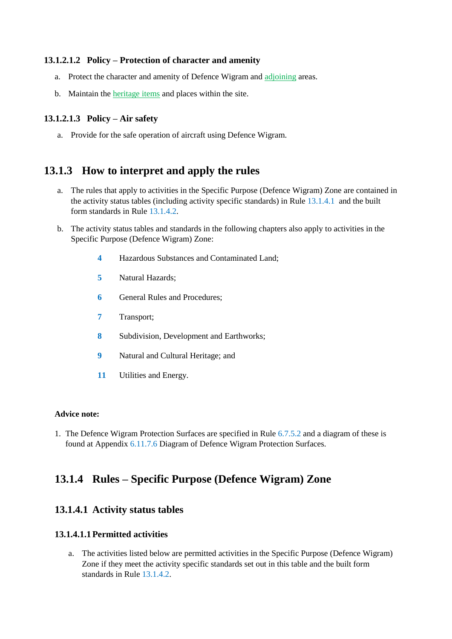#### **13.1.2.1.2 Policy – Protection of character and amenity**

- a. Protect the character and amenity of Defence Wigram and adjoining areas.
- b. Maintain the heritage items and places within the site.

#### **13.1.2.1.3 Policy – Air safety**

a. Provide for the safe operation of aircraft using Defence Wigram.

## **13.1.3 How to interpret and apply the rules**

- a. The rules that apply to activities in the Specific Purpose (Defence Wigram) Zone are contained in the activity status tables (including activity specific standards) in Rule 13.1.4.1 and the built form standards in Rule 13.1.4.2.
- b. The activity status tables and standards in the following chapters also apply to activities in the Specific Purpose (Defence Wigram) Zone:
	- **4** Hazardous Substances and Contaminated Land;
	- **5** Natural Hazards;
	- **6** General Rules and Procedures:
	- **7** Transport;
	- **8** Subdivision, Development and Earthworks;
	- **9** Natural and Cultural Heritage; and
	- **11** Utilities and Energy.

#### **Advice note:**

1. The Defence Wigram Protection Surfaces are specified in Rule 6.7.5.2 and a diagram of these is found at Appendix 6.11.7.6 Diagram of Defence Wigram Protection Surfaces.

# **13.1.4 Rules – Specific Purpose (Defence Wigram) Zone**

## **13.1.4.1 Activity status tables**

#### **13.1.4.1.1Permitted activities**

a. The activities listed below are permitted activities in the Specific Purpose (Defence Wigram) Zone if they meet the activity specific standards set out in this table and the built form standards in Rule 13.1.4.2.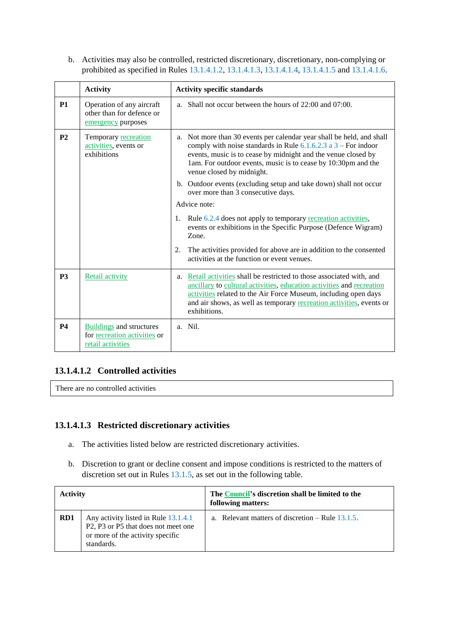b. Activities may also be controlled, restricted discretionary, discretionary, non-complying or prohibited as specified in Rules 13.1.4.1.2, 13.1.4.1.3, 13.1.4.1.4, 13.1.4.1.5 and 13.1.4.1.6.

|                | <b>Activity</b>                                                                      | <b>Activity specific standards</b>                                                                                                                                                                                                                                                                         |
|----------------|--------------------------------------------------------------------------------------|------------------------------------------------------------------------------------------------------------------------------------------------------------------------------------------------------------------------------------------------------------------------------------------------------------|
| <b>P1</b>      | Operation of any aircraft<br>other than for defence or<br>emergency purposes         | a. Shall not occur between the hours of 22:00 and 07:00.                                                                                                                                                                                                                                                   |
| P <sub>2</sub> | Temporary recreation<br>activities, events or<br>exhibitions                         | a. Not more than 30 events per calendar year shall be held, and shall<br>comply with noise standards in Rule $6.1.6.2.3$ a $3$ – For indoor<br>events, music is to cease by midnight and the venue closed by<br>1am. For outdoor events, music is to cease by 10:30pm and the<br>venue closed by midnight. |
|                |                                                                                      | b. Outdoor events (excluding setup and take down) shall not occur<br>over more than 3 consecutive days.                                                                                                                                                                                                    |
|                |                                                                                      | Advice note:                                                                                                                                                                                                                                                                                               |
|                |                                                                                      | Rule 6.2.4 does not apply to temporary recreation activities,<br>1.<br>events or exhibitions in the Specific Purpose (Defence Wigram)<br>Zone.                                                                                                                                                             |
|                |                                                                                      | The activities provided for above are in addition to the consented<br>2.<br>activities at the function or event venues.                                                                                                                                                                                    |
| <b>P3</b>      | Retail activity                                                                      | a. Retail activities shall be restricted to those associated with, and<br>ancillary to cultural activities, education activities and recreation<br>activities related to the Air Force Museum, including open days<br>and air shows, as well as temporary recreation activities, events or<br>exhibitions. |
| <b>P4</b>      | <b>Buildings</b> and structures<br>for recreation activities or<br>retail activities | a. Nil.                                                                                                                                                                                                                                                                                                    |

## **13.1.4.1.2 Controlled activities**

There are no controlled activities

## **13.1.4.1.3 Restricted discretionary activities**

- a. The activities listed below are restricted discretionary activities.
- b. Discretion to grant or decline consent and impose conditions is restricted to the matters of discretion set out in Rules 13.1.5, as set out in the following table.

| <b>Activity</b> |                                                                                                                                                                    | The Council's discretion shall be limited to the<br>following matters: |                                                    |
|-----------------|--------------------------------------------------------------------------------------------------------------------------------------------------------------------|------------------------------------------------------------------------|----------------------------------------------------|
| RD1             | Any activity listed in Rule 13.1.4.1<br>P <sub>2</sub> , P <sub>3</sub> or P <sub>5</sub> that does not meet one<br>or more of the activity specific<br>standards. |                                                                        | a. Relevant matters of discretion $-$ Rule 13.1.5. |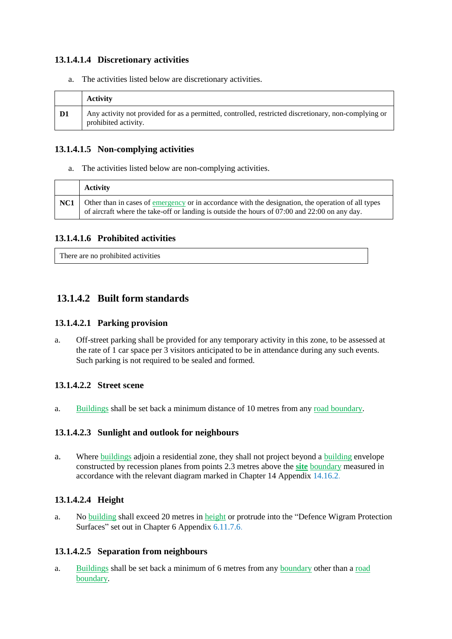## **13.1.4.1.4 Discretionary activities**

a. The activities listed below are discretionary activities.

|    | <b>Activity</b>                                                                                                              |
|----|------------------------------------------------------------------------------------------------------------------------------|
| D1 | Any activity not provided for as a permitted, controlled, restricted discretionary, non-complying or<br>prohibited activity. |

## **13.1.4.1.5 Non-complying activities**

a. The activities listed below are non-complying activities.

|     | <b>Activity</b>                                                                                                                                                                                                |
|-----|----------------------------------------------------------------------------------------------------------------------------------------------------------------------------------------------------------------|
| NC1 | Other than in cases of <u>emergency</u> or in accordance with the designation, the operation of all types<br>of aircraft where the take-off or landing is outside the hours of $07:00$ and $22:00$ on any day. |

## **13.1.4.1.6 Prohibited activities**

There are no prohibited activities

## **13.1.4.2 Built form standards**

## **13.1.4.2.1 Parking provision**

a. Off-street parking shall be provided for any temporary activity in this zone, to be assessed at the rate of 1 car space per 3 visitors anticipated to be in attendance during any such events. Such parking is not required to be sealed and formed.

## **13.1.4.2.2 Street scene**

a. Buildings shall be set back a minimum distance of 10 metres from any road boundary.

## **13.1.4.2.3 Sunlight and outlook for neighbours**

a. Where buildings adjoin a residential zone, they shall not project beyond a building envelope constructed by recession planes from points 2.3 metres above the **site** boundary measured in accordance with the relevant diagram marked in Chapter 14 Appendix 14.16.2.

## **13.1.4.2.4 Height**

a. No building shall exceed 20 metres in height or protrude into the "Defence Wigram Protection Surfaces" set out in Chapter 6 Appendix 6.11.7.6.

## **13.1.4.2.5 Separation from neighbours**

a. Buildings shall be set back a minimum of 6 metres from any boundary other than a road boundary.